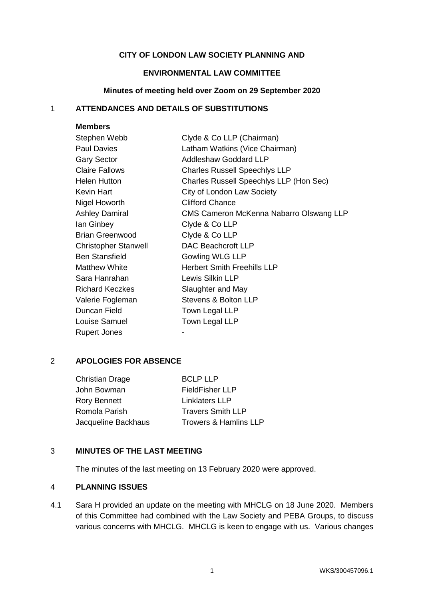# **CITY OF LONDON LAW SOCIETY PLANNING AND**

# **ENVIRONMENTAL LAW COMMITTEE**

## **Minutes of meeting held over Zoom on 29 September 2020**

# 1 **ATTENDANCES AND DETAILS OF SUBSTITUTIONS**

| <b>Members</b>              |                                         |  |
|-----------------------------|-----------------------------------------|--|
| Stephen Webb                | Clyde & Co LLP (Chairman)               |  |
| <b>Paul Davies</b>          | Latham Watkins (Vice Chairman)          |  |
| <b>Gary Sector</b>          | <b>Addleshaw Goddard LLP</b>            |  |
| <b>Claire Fallows</b>       | <b>Charles Russell Speechlys LLP</b>    |  |
| <b>Helen Hutton</b>         | Charles Russell Speechlys LLP (Hon Sec) |  |
| <b>Kevin Hart</b>           | City of London Law Society              |  |
| Nigel Howorth               | <b>Clifford Chance</b>                  |  |
| <b>Ashley Damiral</b>       | CMS Cameron McKenna Nabarro Olswang LLP |  |
| lan Ginbey                  | Clyde & Co LLP                          |  |
| <b>Brian Greenwood</b>      | Clyde & Co LLP                          |  |
| <b>Christopher Stanwell</b> | <b>DAC Beachcroft LLP</b>               |  |
| <b>Ben Stansfield</b>       | Gowling WLG LLP                         |  |
| <b>Matthew White</b>        | <b>Herbert Smith Freehills LLP</b>      |  |
| Sara Hanrahan               | Lewis Silkin LLP                        |  |
| <b>Richard Keczkes</b>      | Slaughter and May                       |  |
| Valerie Fogleman            | Stevens & Bolton LLP                    |  |
| Duncan Field                | Town Legal LLP                          |  |
| Louise Samuel               | Town Legal LLP                          |  |
| <b>Rupert Jones</b>         |                                         |  |

# 2 **APOLOGIES FOR ABSENCE**

| <b>Christian Drage</b> | <b>BCLP LLP</b>                  |
|------------------------|----------------------------------|
| John Bowman            | <b>FieldFisher LLP</b>           |
| <b>Rory Bennett</b>    | <b>Linklaters LLP</b>            |
| Romola Parish          | <b>Travers Smith LLP</b>         |
| Jacqueline Backhaus    | <b>Trowers &amp; Hamlins LLP</b> |
|                        |                                  |

# 3 **MINUTES OF THE LAST MEETING**

The minutes of the last meeting on 13 February 2020 were approved.

# 4 **PLANNING ISSUES**

4.1 Sara H provided an update on the meeting with MHCLG on 18 June 2020. Members of this Committee had combined with the Law Society and PEBA Groups, to discuss various concerns with MHCLG. MHCLG is keen to engage with us. Various changes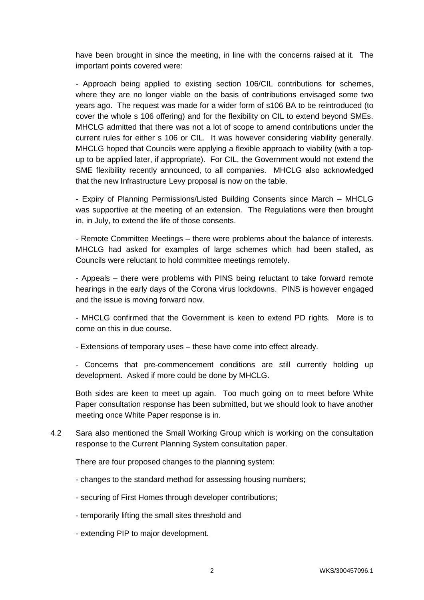have been brought in since the meeting, in line with the concerns raised at it. The important points covered were:

- Approach being applied to existing section 106/CIL contributions for schemes, where they are no longer viable on the basis of contributions envisaged some two years ago. The request was made for a wider form of s106 BA to be reintroduced (to cover the whole s 106 offering) and for the flexibility on CIL to extend beyond SMEs. MHCLG admitted that there was not a lot of scope to amend contributions under the current rules for either s 106 or CIL. It was however considering viability generally. MHCLG hoped that Councils were applying a flexible approach to viability (with a topup to be applied later, if appropriate). For CIL, the Government would not extend the SME flexibility recently announced, to all companies. MHCLG also acknowledged that the new Infrastructure Levy proposal is now on the table.

- Expiry of Planning Permissions/Listed Building Consents since March – MHCLG was supportive at the meeting of an extension. The Regulations were then brought in, in July, to extend the life of those consents.

- Remote Committee Meetings – there were problems about the balance of interests. MHCLG had asked for examples of large schemes which had been stalled, as Councils were reluctant to hold committee meetings remotely.

- Appeals – there were problems with PINS being reluctant to take forward remote hearings in the early days of the Corona virus lockdowns. PINS is however engaged and the issue is moving forward now.

- MHCLG confirmed that the Government is keen to extend PD rights. More is to come on this in due course.

- Extensions of temporary uses – these have come into effect already.

- Concerns that pre-commencement conditions are still currently holding up development. Asked if more could be done by MHCLG.

Both sides are keen to meet up again. Too much going on to meet before White Paper consultation response has been submitted, but we should look to have another meeting once White Paper response is in.

4.2 Sara also mentioned the Small Working Group which is working on the consultation response to the Current Planning System consultation paper.

There are four proposed changes to the planning system:

- changes to the standard method for assessing housing numbers;
- securing of First Homes through developer contributions;
- temporarily lifting the small sites threshold and
- extending PIP to major development.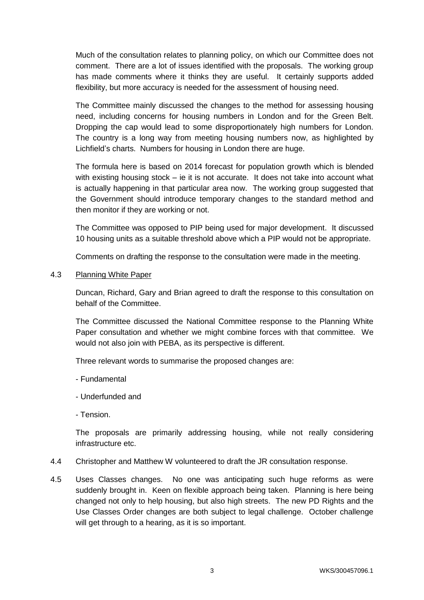Much of the consultation relates to planning policy, on which our Committee does not comment. There are a lot of issues identified with the proposals. The working group has made comments where it thinks they are useful. It certainly supports added flexibility, but more accuracy is needed for the assessment of housing need.

The Committee mainly discussed the changes to the method for assessing housing need, including concerns for housing numbers in London and for the Green Belt. Dropping the cap would lead to some disproportionately high numbers for London. The country is a long way from meeting housing numbers now, as highlighted by Lichfield's charts. Numbers for housing in London there are huge.

The formula here is based on 2014 forecast for population growth which is blended with existing housing stock – ie it is not accurate. It does not take into account what is actually happening in that particular area now. The working group suggested that the Government should introduce temporary changes to the standard method and then monitor if they are working or not.

The Committee was opposed to PIP being used for major development. It discussed 10 housing units as a suitable threshold above which a PIP would not be appropriate.

Comments on drafting the response to the consultation were made in the meeting.

4.3 Planning White Paper

Duncan, Richard, Gary and Brian agreed to draft the response to this consultation on behalf of the Committee.

The Committee discussed the National Committee response to the Planning White Paper consultation and whether we might combine forces with that committee. We would not also join with PEBA, as its perspective is different.

Three relevant words to summarise the proposed changes are:

- Fundamental
- Underfunded and
- Tension.

The proposals are primarily addressing housing, while not really considering infrastructure etc.

- 4.4 Christopher and Matthew W volunteered to draft the JR consultation response.
- 4.5 Uses Classes changes. No one was anticipating such huge reforms as were suddenly brought in. Keen on flexible approach being taken. Planning is here being changed not only to help housing, but also high streets. The new PD Rights and the Use Classes Order changes are both subject to legal challenge. October challenge will get through to a hearing, as it is so important.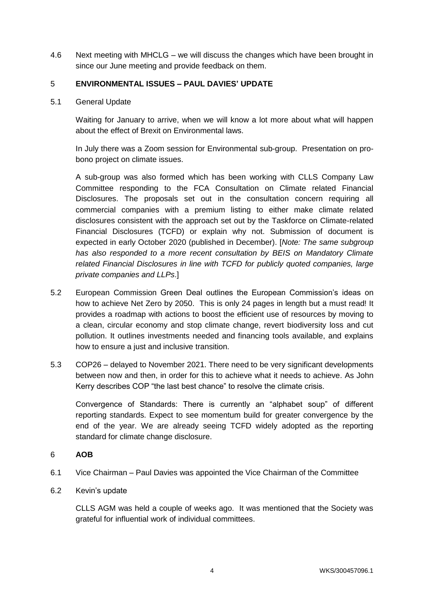4.6 Next meeting with MHCLG – we will discuss the changes which have been brought in since our June meeting and provide feedback on them.

# 5 **ENVIRONMENTAL ISSUES – PAUL DAVIES' UPDATE**

5.1 General Update

Waiting for January to arrive, when we will know a lot more about what will happen about the effect of Brexit on Environmental laws.

In July there was a Zoom session for Environmental sub-group. Presentation on probono project on climate issues.

A sub-group was also formed which has been working with CLLS Company Law Committee responding to the FCA Consultation on Climate related Financial Disclosures. The proposals set out in the consultation concern requiring all commercial companies with a premium listing to either make climate related disclosures consistent with the approach set out by the Taskforce on Climate-related Financial Disclosures (TCFD) or explain why not. Submission of document is expected in early October 2020 (published in December). [*Note: The same subgroup has also responded to a more recent consultation by BEIS on Mandatory Climate related Financial Disclosures in line with TCFD for publicly quoted companies, large private companies and LLPs*.]

- 5.2 European Commission Green Deal outlines the European Commission's ideas on how to achieve Net Zero by 2050. This is only 24 pages in length but a must read! It provides a roadmap with actions to boost the efficient use of resources by moving to a clean, circular economy and stop climate change, revert biodiversity loss and cut pollution. It outlines investments needed and financing tools available, and explains how to ensure a just and inclusive transition.
- 5.3 COP26 delayed to November 2021. There need to be very significant developments between now and then, in order for this to achieve what it needs to achieve. As John Kerry describes COP "the last best chance" to resolve the climate crisis.

Convergence of Standards: There is currently an "alphabet soup" of different reporting standards. Expect to see momentum build for greater convergence by the end of the year. We are already seeing TCFD widely adopted as the reporting standard for climate change disclosure.

# 6 **AOB**

- 6.1 Vice Chairman Paul Davies was appointed the Vice Chairman of the Committee
- 6.2 Kevin's update

CLLS AGM was held a couple of weeks ago. It was mentioned that the Society was grateful for influential work of individual committees.